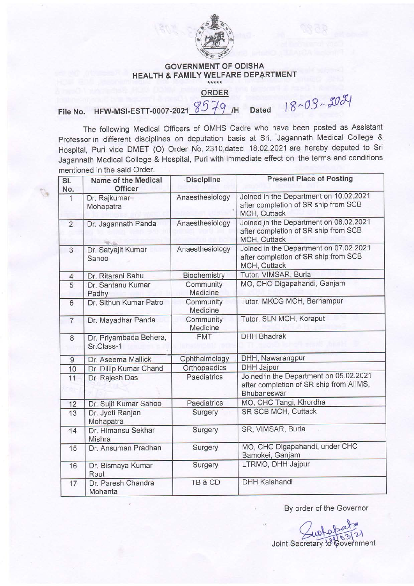

## GOVERNMENT OF ODISHA HEALTH & FAMILY WELFARE DEPARTMENT

## ORDER

File No. HFW-MSI-ESTT-0007-2021 8579 /H Dated 18~03 ~ 2021

The following Medical Officers of OMHS Cadre who have been posted as Assistant professor in different disciplines on deputation basis at Sri. Jagannath Medical College & Hospital, Puri vide DMET (O) Order No. 2310,dated 18.02.2021 are hereby deputed to Sri Jagannath Medical College & Hospital, Puri with immediate effect on the terms and conditions mentioned in the said Order,

| SI.<br>No.     | Name of the Medical<br><b>Officer</b> | <b>Discipline</b>     | <b>Present Place of Posting</b>                                                                  |
|----------------|---------------------------------------|-----------------------|--------------------------------------------------------------------------------------------------|
| $\mathbf{1}$   | Dr. Rajkumar<br>Mohapatra             | Anaesthesiology       | Joined in the Department on 10.02.2021<br>after completion of SR ship from SCB<br>MCH, Cuttack   |
| $\overline{2}$ | Dr. Jagannath Panda                   | Anaesthesiology       | Joined in the Department on 08.02.2021<br>after completion of SR ship from SCB<br>MCH, Cuttack   |
| $\overline{3}$ | Dr. Satyajit Kumar<br>Sahoo           | Anaesthesiology       | Joined in the Department on 07.02.2021<br>after completion of SR ship from SCB<br>MCH, Cuttack   |
| $\overline{4}$ | Dr. Ritarani Sahu                     | Biochemistry          | Tutor, VIMSAR, Burla                                                                             |
| 5              | Dr. Santanu Kumar<br>Padhy            | Community<br>Medicine | MO, CHC Digapahandi, Ganjam                                                                      |
| 6              | Dr. Sithun Kumar Patro                | Community<br>Medicine | Tutor, MKCG MCH, Berhampur                                                                       |
| $\overline{7}$ | Dr. Mayadhar Panda                    | Community<br>Medicine | Tutor, SLN MCH, Koraput                                                                          |
| 8              | Dr. Priyambada Behera,<br>Sr.Class-1  | <b>FMT</b>            | <b>DHH Bhadrak</b>                                                                               |
| $\overline{9}$ | Dr. Aseema Mallick                    | Ophthalmology         | DHH, Nawarangpur                                                                                 |
| 10             | Dr. Dillip Kumar Chand                | Orthopaedics          | <b>DHH Jajpur</b>                                                                                |
| 11             | Dr. Rajesh Das                        | Paediatrics           | Joined in the Department on 05.02.2021<br>after completion of SR ship from AIIMS,<br>Bhubaneswar |
| 12             | Dr. Sujit Kumar Sahoo                 | Paediatrics           | MO, CHC Tangi, Khordha                                                                           |
| 13             | Dr. Jyoti Ranjan<br>Mohapatra         | Surgery               | SR SCB MCH, Cuttack                                                                              |
| $-14$          | Dr. Himansu Sekhar<br>Mishra          | Surgery               | SR, VIMSAR, Burla                                                                                |
| 15             | Dr. Ansuman Pradhan                   | Surgery               | MO, CHC Digapahandi, under CHC<br>Bamokei, Ganjam                                                |
| 16             | Dr. Bismaya Kumar<br>Rout             | Surgery               | LTRMO, DHH Jajpur                                                                                |
| 17             | Dr. Paresh Chandra<br>Mohanta         | TB & CD               | <b>DHH Kalahandi</b>                                                                             |

By order of the Governor

Joint Secretary to Government